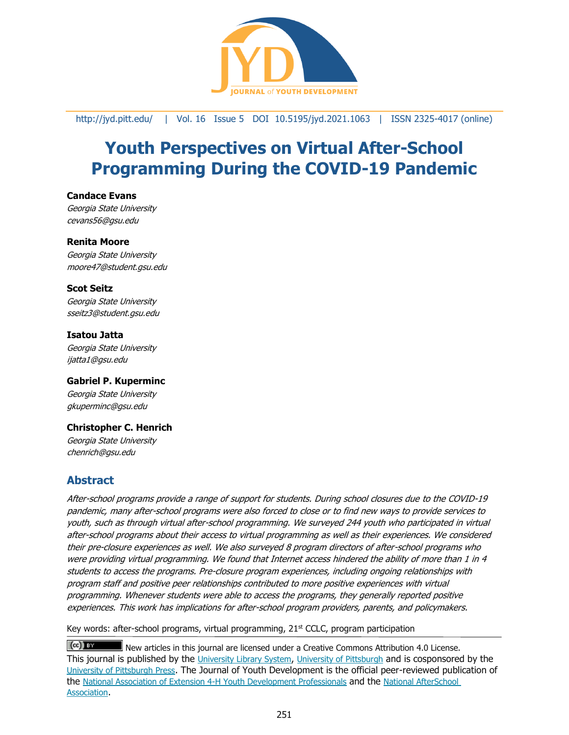

#### <http://jyd.pitt.edu/> | Vol. 16 Issue 5 DOI 10.5195/jyd.2021.1063 | ISSN 2325-4017 (online)

# **Youth Perspectives on Virtual After-School Programming During the COVID-19 Pandemic**

#### **Candace Evans**

Georgia State University cevans56@gsu.edu

#### **Renita Moore**

Georgia State University moore47@student.gsu.edu

#### **Scot Seitz**

Georgia State University sseitz3@student.gsu.edu

# **Isatou Jatta**

Georgia State University ijatta1@gsu.edu

#### **Gabriel P. Kuperminc**

Georgia State University gkuperminc@gsu.edu

#### **Christopher C. Henrich**

Georgia State University chenrich@gsu.edu

# **Abstract**

After-school programs provide a range of support for students. During school closures due to the COVID-19 pandemic, many after-school programs were also forced to close or to find new ways to provide services to youth, such as through virtual after-school programming. We surveyed 244 youth who participated in virtual after-school programs about their access to virtual programming as well as their experiences. We considered their pre-closure experiences as well. We also surveyed 8 program directors of after-school programs who were providing virtual programming. We found that Internet access hindered the ability of more than 1 in 4 students to access the programs. Pre-closure program experiences, including ongoing relationships with program staff and positive peer relationships contributed to more positive experiences with virtual programming. Whenever students were able to access the programs, they generally reported positive experiences. This work has implications for after-school program providers, parents, and policymakers.

Key words: after-school programs, virtual programming,  $21<sup>st</sup>$  CCLC, program participation

 $(cc)$  BY New articles in this journal are licensed under a Creative Commons Attribution 4.0 License. This journal is published by the [University Library System](http://www.library.pitt.edu/), [University of Pittsburgh](http://www.pitt.edu/) and is cosponsored by the [University of Pittsburgh Press](http://www.upress.pitt.edu/upressIndex.aspx). The Journal of Youth Development is the official peer-reviewed publication of the [National Association of Extension 4-H Youth Development Professionals](http://www.nae4ha.com/) and the [National AfterSchool](http://naaweb.org/)  [Association](http://naaweb.org/).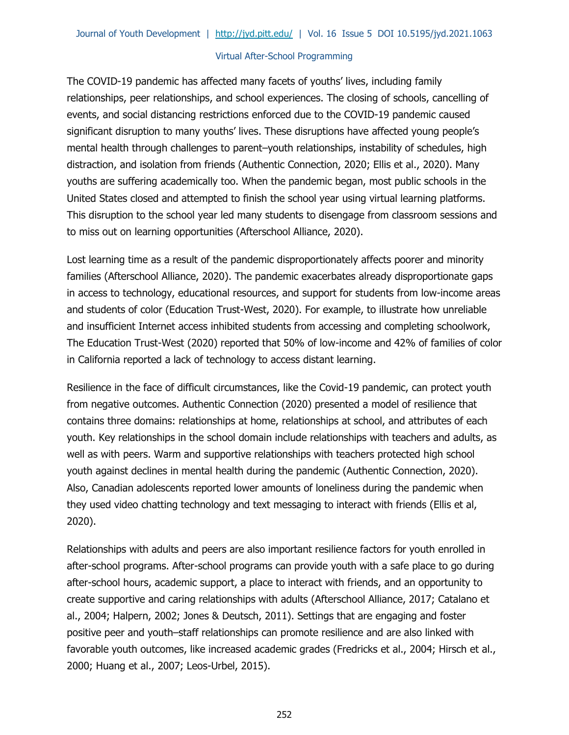The COVID-19 pandemic has affected many facets of youths' lives, including family relationships, peer relationships, and school experiences. The closing of schools, cancelling of events, and social distancing restrictions enforced due to the COVID-19 pandemic caused significant disruption to many youths' lives. These disruptions have affected young people's mental health through challenges to parent–youth relationships, instability of schedules, high distraction, and isolation from friends (Authentic Connection, 2020; Ellis et al., 2020). Many youths are suffering academically too. When the pandemic began, most public schools in the United States closed and attempted to finish the school year using virtual learning platforms. This disruption to the school year led many students to disengage from classroom sessions and to miss out on learning opportunities (Afterschool Alliance, 2020).

Lost learning time as a result of the pandemic disproportionately affects poorer and minority families (Afterschool Alliance, 2020). The pandemic exacerbates already disproportionate gaps in access to technology, educational resources, and support for students from low-income areas and students of color (Education Trust-West, 2020). For example, to illustrate how unreliable and insufficient Internet access inhibited students from accessing and completing schoolwork, The Education Trust-West (2020) reported that 50% of low-income and 42% of families of color in California reported a lack of technology to access distant learning.

Resilience in the face of difficult circumstances, like the Covid-19 pandemic, can protect youth from negative outcomes. Authentic Connection (2020) presented a model of resilience that contains three domains: relationships at home, relationships at school, and attributes of each youth. Key relationships in the school domain include relationships with teachers and adults, as well as with peers. Warm and supportive relationships with teachers protected high school youth against declines in mental health during the pandemic (Authentic Connection, 2020). Also, Canadian adolescents reported lower amounts of loneliness during the pandemic when they used video chatting technology and text messaging to interact with friends (Ellis et al, 2020).

Relationships with adults and peers are also important resilience factors for youth enrolled in after-school programs. After-school programs can provide youth with a safe place to go during after-school hours, academic support, a place to interact with friends, and an opportunity to create supportive and caring relationships with adults (Afterschool Alliance, 2017; Catalano et al., 2004; Halpern, 2002; Jones & Deutsch, 2011). Settings that are engaging and foster positive peer and youth–staff relationships can promote resilience and are also linked with favorable youth outcomes, like increased academic grades (Fredricks et al., 2004; Hirsch et al., 2000; Huang et al., 2007; Leos-Urbel, 2015).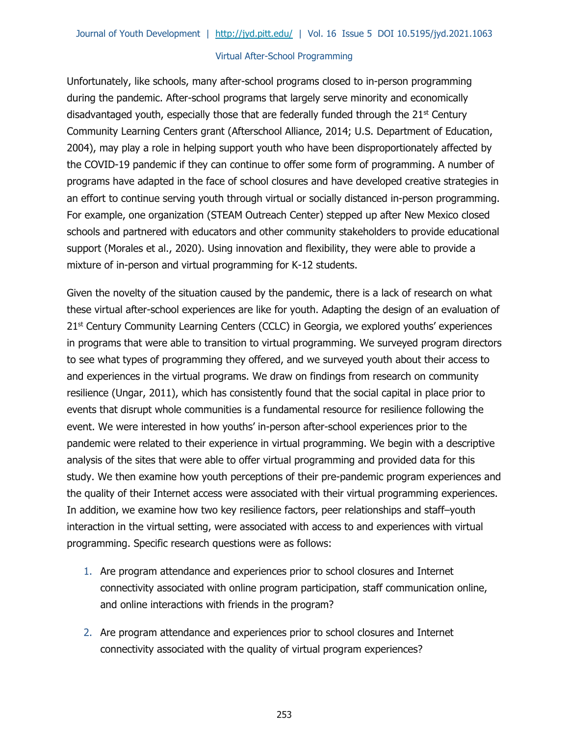Unfortunately, like schools, many after-school programs closed to in-person programming during the pandemic. After-school programs that largely serve minority and economically disadvantaged youth, especially those that are federally funded through the  $21<sup>st</sup>$  Century Community Learning Centers grant (Afterschool Alliance, 2014; U.S. Department of Education, 2004), may play a role in helping support youth who have been disproportionately affected by the COVID-19 pandemic if they can continue to offer some form of programming. A number of programs have adapted in the face of school closures and have developed creative strategies in an effort to continue serving youth through virtual or socially distanced in-person programming. For example, one organization (STEAM Outreach Center) stepped up after New Mexico closed schools and partnered with educators and other community stakeholders to provide educational support (Morales et al., 2020). Using innovation and flexibility, they were able to provide a mixture of in-person and virtual programming for K-12 students.

Given the novelty of the situation caused by the pandemic, there is a lack of research on what these virtual after-school experiences are like for youth. Adapting the design of an evaluation of 21<sup>st</sup> Century Community Learning Centers (CCLC) in Georgia, we explored youths' experiences in programs that were able to transition to virtual programming. We surveyed program directors to see what types of programming they offered, and we surveyed youth about their access to and experiences in the virtual programs. We draw on findings from research on community resilience (Ungar, 2011), which has consistently found that the social capital in place prior to events that disrupt whole communities is a fundamental resource for resilience following the event. We were interested in how youths' in-person after-school experiences prior to the pandemic were related to their experience in virtual programming. We begin with a descriptive analysis of the sites that were able to offer virtual programming and provided data for this study. We then examine how youth perceptions of their pre-pandemic program experiences and the quality of their Internet access were associated with their virtual programming experiences. In addition, we examine how two key resilience factors, peer relationships and staff–youth interaction in the virtual setting, were associated with access to and experiences with virtual programming. Specific research questions were as follows:

- 1. Are program attendance and experiences prior to school closures and Internet connectivity associated with online program participation, staff communication online, and online interactions with friends in the program?
- 2. Are program attendance and experiences prior to school closures and Internet connectivity associated with the quality of virtual program experiences?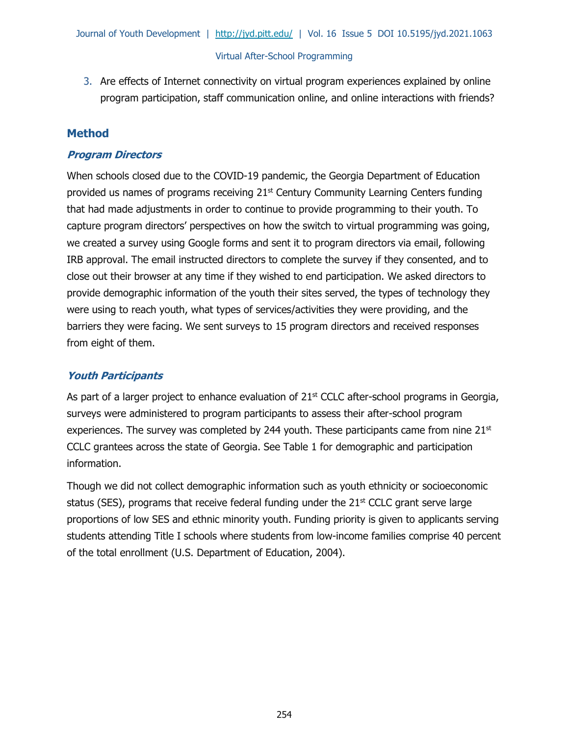3. Are effects of Internet connectivity on virtual program experiences explained by online program participation, staff communication online, and online interactions with friends?

# **Method**

# **Program Directors**

When schools closed due to the COVID-19 pandemic, the Georgia Department of Education provided us names of programs receiving  $21<sup>st</sup>$  Century Community Learning Centers funding that had made adjustments in order to continue to provide programming to their youth. To capture program directors' perspectives on how the switch to virtual programming was going, we created a survey using Google forms and sent it to program directors via email, following IRB approval. The email instructed directors to complete the survey if they consented, and to close out their browser at any time if they wished to end participation. We asked directors to provide demographic information of the youth their sites served, the types of technology they were using to reach youth, what types of services/activities they were providing, and the barriers they were facing. We sent surveys to 15 program directors and received responses from eight of them.

# **Youth Participants**

As part of a larger project to enhance evaluation of  $21<sup>st</sup>$  CCLC after-school programs in Georgia, surveys were administered to program participants to assess their after-school program experiences. The survey was completed by 244 youth. These participants came from nine  $21<sup>st</sup>$ CCLC grantees across the state of Georgia. See Table 1 for demographic and participation information.

Though we did not collect demographic information such as youth ethnicity or socioeconomic status (SES), programs that receive federal funding under the  $21<sup>st</sup>$  CCLC grant serve large proportions of low SES and ethnic minority youth. Funding priority is given to applicants serving students attending Title I schools where students from low-income families comprise 40 percent of the total enrollment (U.S. Department of Education, 2004).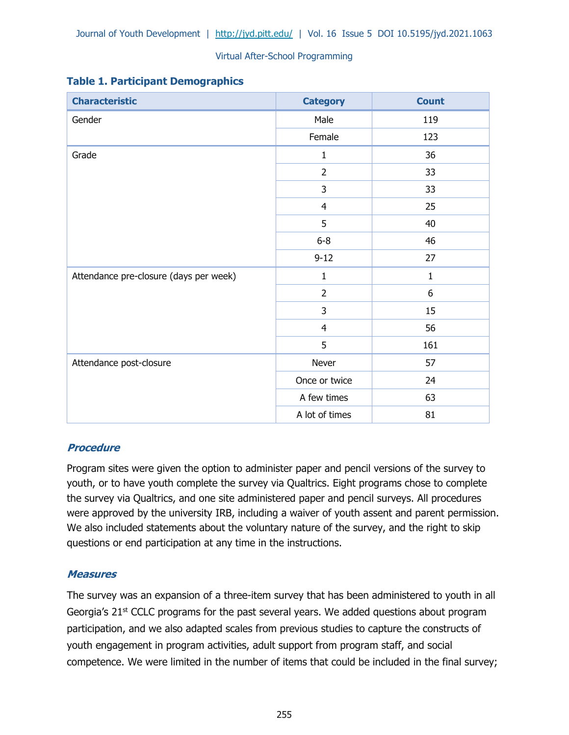| <b>Characteristic</b>                  | <b>Category</b> | <b>Count</b> |  |  |
|----------------------------------------|-----------------|--------------|--|--|
| Gender                                 | Male            | 119          |  |  |
|                                        | Female          | 123          |  |  |
| Grade                                  | $\mathbf{1}$    | 36           |  |  |
|                                        | $\overline{2}$  | 33           |  |  |
|                                        | 3               | 33           |  |  |
|                                        | $\overline{4}$  | 25           |  |  |
|                                        | 5               | 40           |  |  |
|                                        | $6 - 8$         | 46           |  |  |
|                                        | $9 - 12$        | 27           |  |  |
| Attendance pre-closure (days per week) | $\mathbf 1$     | $\mathbf 1$  |  |  |
|                                        | $\overline{2}$  | 6            |  |  |
|                                        | 3               | 15           |  |  |
|                                        | $\overline{4}$  | 56<br>161    |  |  |
|                                        | 5               |              |  |  |
| Attendance post-closure                | Never           | 57           |  |  |
|                                        | Once or twice   | 24           |  |  |
|                                        | A few times     | 63           |  |  |
|                                        | A lot of times  | 81           |  |  |

# **Table 1. Participant Demographics**

# **Procedure**

Program sites were given the option to administer paper and pencil versions of the survey to youth, or to have youth complete the survey via Qualtrics. Eight programs chose to complete the survey via Qualtrics, and one site administered paper and pencil surveys. All procedures were approved by the university IRB, including a waiver of youth assent and parent permission. We also included statements about the voluntary nature of the survey, and the right to skip questions or end participation at any time in the instructions.

# **Measures**

The survey was an expansion of a three-item survey that has been administered to youth in all Georgia's 21<sup>st</sup> CCLC programs for the past several years. We added questions about program participation, and we also adapted scales from previous studies to capture the constructs of youth engagement in program activities, adult support from program staff, and social competence. We were limited in the number of items that could be included in the final survey;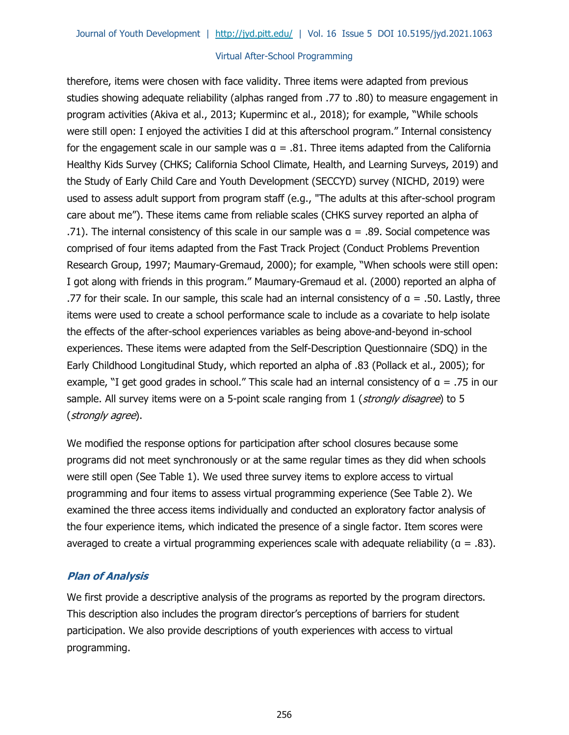therefore, items were chosen with face validity. Three items were adapted from previous studies showing adequate reliability (alphas ranged from .77 to .80) to measure engagement in program activities (Akiva et al., 2013; Kuperminc et al., 2018); for example, "While schools were still open: I enjoyed the activities I did at this afterschool program." Internal consistency for the engagement scale in our sample was  $a = .81$ . Three items adapted from the California Healthy Kids Survey (CHKS; California School Climate, Health, and Learning Surveys, 2019) and the Study of Early Child Care and Youth Development (SECCYD) survey (NICHD, 2019) were used to assess adult support from program staff (e.g., "The adults at this after-school program care about me"). These items came from reliable scales (CHKS survey reported an alpha of .71). The internal consistency of this scale in our sample was  $a = .89$ . Social competence was comprised of four items adapted from the Fast Track Project (Conduct Problems Prevention Research Group, 1997; Maumary-Gremaud, 2000); for example, "When schools were still open: I got along with friends in this program." Maumary-Gremaud et al. (2000) reported an alpha of .77 for their scale. In our sample, this scale had an internal consistency of  $a = .50$ . Lastly, three items were used to create a school performance scale to include as a covariate to help isolate the effects of the after-school experiences variables as being above-and-beyond in-school experiences. These items were adapted from the Self-Description Questionnaire (SDQ) in the Early Childhood Longitudinal Study, which reported an alpha of .83 (Pollack et al., 2005); for example, "I get good grades in school." This scale had an internal consistency of α = .75 in our sample. All survey items were on a 5-point scale ranging from 1 (strongly disagree) to 5 (strongly agree).

We modified the response options for participation after school closures because some programs did not meet synchronously or at the same regular times as they did when schools were still open (See Table 1). We used three survey items to explore access to virtual programming and four items to assess virtual programming experience (See Table 2). We examined the three access items individually and conducted an exploratory factor analysis of the four experience items, which indicated the presence of a single factor. Item scores were averaged to create a virtual programming experiences scale with adequate reliability ( $a = .83$ ).

#### **Plan of Analysis**

We first provide a descriptive analysis of the programs as reported by the program directors. This description also includes the program director's perceptions of barriers for student participation. We also provide descriptions of youth experiences with access to virtual programming.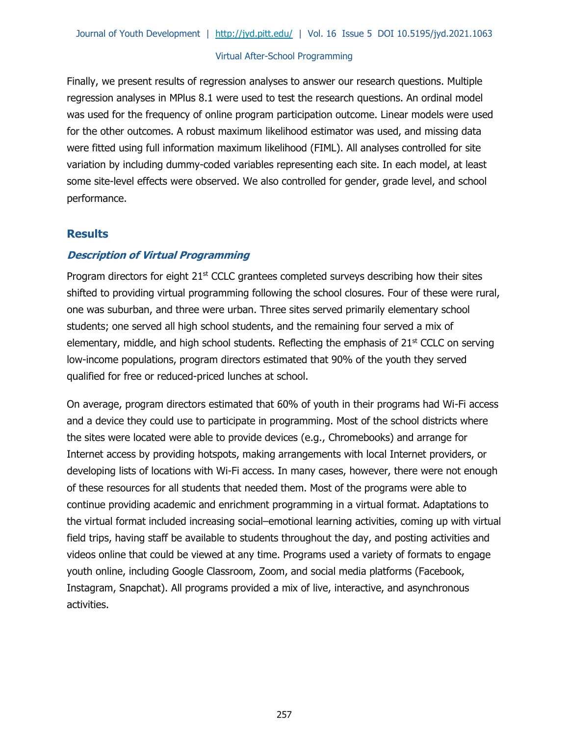Finally, we present results of regression analyses to answer our research questions. Multiple regression analyses in MPlus 8.1 were used to test the research questions. An ordinal model was used for the frequency of online program participation outcome. Linear models were used for the other outcomes. A robust maximum likelihood estimator was used, and missing data were fitted using full information maximum likelihood (FIML). All analyses controlled for site variation by including dummy-coded variables representing each site. In each model, at least some site-level effects were observed. We also controlled for gender, grade level, and school performance.

# **Results**

# **Description of Virtual Programming**

Program directors for eight  $21<sup>st</sup>$  CCLC grantees completed surveys describing how their sites shifted to providing virtual programming following the school closures. Four of these were rural, one was suburban, and three were urban. Three sites served primarily elementary school students; one served all high school students, and the remaining four served a mix of elementary, middle, and high school students. Reflecting the emphasis of  $21<sup>st</sup>$  CCLC on serving low-income populations, program directors estimated that 90% of the youth they served qualified for free or reduced-priced lunches at school.

On average, program directors estimated that 60% of youth in their programs had Wi-Fi access and a device they could use to participate in programming. Most of the school districts where the sites were located were able to provide devices (e.g., Chromebooks) and arrange for Internet access by providing hotspots, making arrangements with local Internet providers, or developing lists of locations with Wi-Fi access. In many cases, however, there were not enough of these resources for all students that needed them. Most of the programs were able to continue providing academic and enrichment programming in a virtual format. Adaptations to the virtual format included increasing social–emotional learning activities, coming up with virtual field trips, having staff be available to students throughout the day, and posting activities and videos online that could be viewed at any time. Programs used a variety of formats to engage youth online, including Google Classroom, Zoom, and social media platforms (Facebook, Instagram, Snapchat). All programs provided a mix of live, interactive, and asynchronous activities.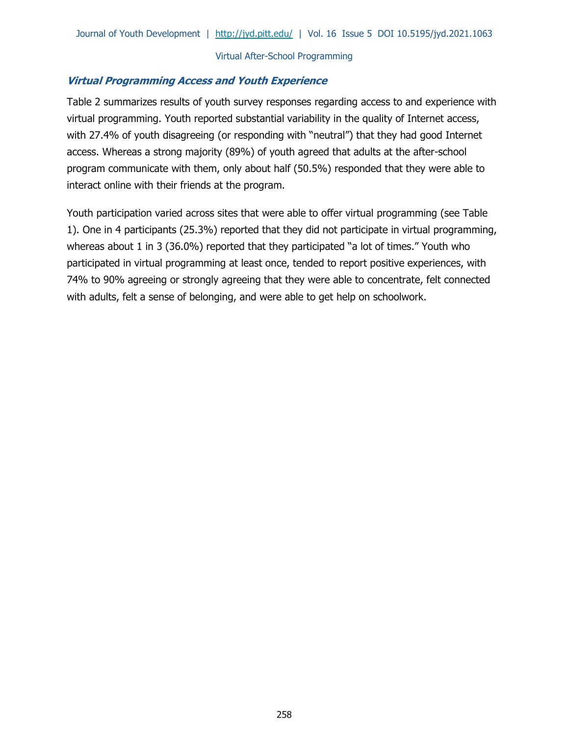# **Virtual Programming Access and Youth Experience**

Table 2 summarizes results of youth survey responses regarding access to and experience with virtual programming. Youth reported substantial variability in the quality of Internet access, with 27.4% of youth disagreeing (or responding with "neutral") that they had good Internet access. Whereas a strong majority (89%) of youth agreed that adults at the after-school program communicate with them, only about half (50.5%) responded that they were able to interact online with their friends at the program.

Youth participation varied across sites that were able to offer virtual programming (see Table 1). One in 4 participants (25.3%) reported that they did not participate in virtual programming, whereas about 1 in 3 (36.0%) reported that they participated "a lot of times." Youth who participated in virtual programming at least once, tended to report positive experiences, with 74% to 90% agreeing or strongly agreeing that they were able to concentrate, felt connected with adults, felt a sense of belonging, and were able to get help on schoolwork.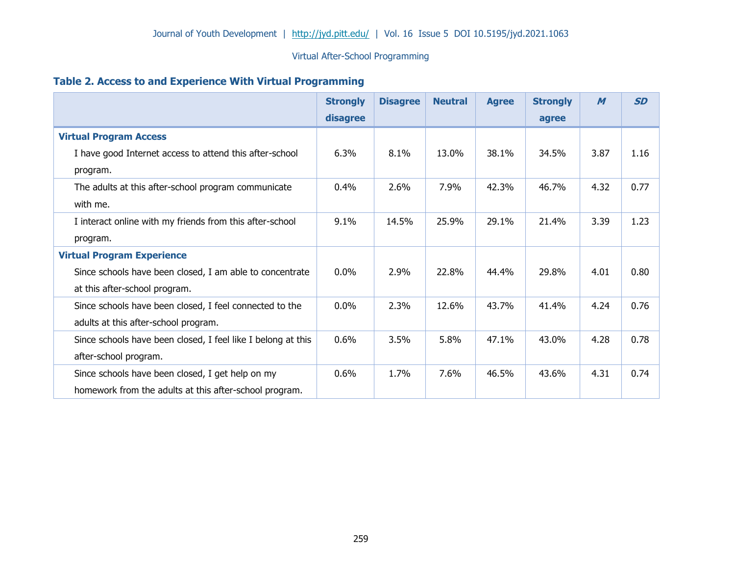# **Table 2. Access to and Experience With Virtual Programming**

|                                                              | <b>Strongly</b> | <b>Disagree</b> | <b>Neutral</b> | <b>Agree</b> | <b>Strongly</b> | $\boldsymbol{M}$ | <b>SD</b> |
|--------------------------------------------------------------|-----------------|-----------------|----------------|--------------|-----------------|------------------|-----------|
|                                                              | disagree        |                 |                |              | agree           |                  |           |
| <b>Virtual Program Access</b>                                |                 |                 |                |              |                 |                  |           |
| I have good Internet access to attend this after-school      | 6.3%            | 8.1%            | 13.0%          | 38.1%        | 34.5%           | 3.87             | 1.16      |
| program.                                                     |                 |                 |                |              |                 |                  |           |
| The adults at this after-school program communicate          | 0.4%            | 2.6%            | 7.9%           | 42.3%        | 46.7%           | 4.32             | 0.77      |
| with me.                                                     |                 |                 |                |              |                 |                  |           |
| I interact online with my friends from this after-school     | 9.1%            | 14.5%           | 25.9%          | 29.1%        | 21.4%           | 3.39             | 1.23      |
| program.                                                     |                 |                 |                |              |                 |                  |           |
| <b>Virtual Program Experience</b>                            |                 |                 |                |              |                 |                  |           |
| Since schools have been closed, I am able to concentrate     | 0.0%            | 2.9%            | 22.8%          | 44.4%        | 29.8%           | 4.01             | 0.80      |
| at this after-school program.                                |                 |                 |                |              |                 |                  |           |
| Since schools have been closed, I feel connected to the      | 0.0%            | 2.3%            | 12.6%          | 43.7%        | 41.4%           | 4.24             | 0.76      |
| adults at this after-school program.                         |                 |                 |                |              |                 |                  |           |
| Since schools have been closed, I feel like I belong at this | 0.6%            | 3.5%            | 5.8%           | 47.1%        | 43.0%           | 4.28             | 0.78      |
| after-school program.                                        |                 |                 |                |              |                 |                  |           |
| Since schools have been closed, I get help on my             | 0.6%            | 1.7%            | 7.6%           | 46.5%        | 43.6%           | 4.31             | 0.74      |
| homework from the adults at this after-school program.       |                 |                 |                |              |                 |                  |           |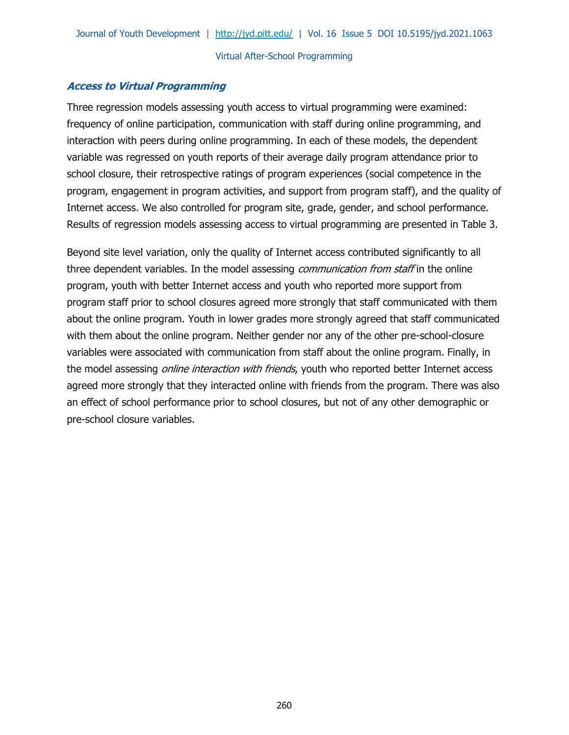# **Access to Virtual Programming**

Three regression models assessing youth access to virtual programming were examined: frequency of online participation, communication with staff during online programming, and interaction with peers during online programming. In each of these models, the dependent variable was regressed on youth reports of their average daily program attendance prior to school closure, their retrospective ratings of program experiences (social competence in the program, engagement in program activities, and support from program staff), and the quality of Internet access. We also controlled for program site, grade, gender, and school performance. Results of regression models assessing access to virtual programming are presented in Table 3.

Beyond site level variation, only the quality of Internet access contributed significantly to all three dependent variables. In the model assessing *communication from staff* in the online program, youth with better Internet access and youth who reported more support from program staff prior to school closures agreed more strongly that staff communicated with them about the online program. Youth in lower grades more strongly agreed that staff communicated with them about the online program. Neither gender nor any of the other pre-school-closure variables were associated with communication from staff about the online program. Finally, in the model assessing *online interaction with friends*, youth who reported better Internet access agreed more strongly that they interacted online with friends from the program. There was also an effect of school performance prior to school closures, but not of any other demographic or pre-school closure variables.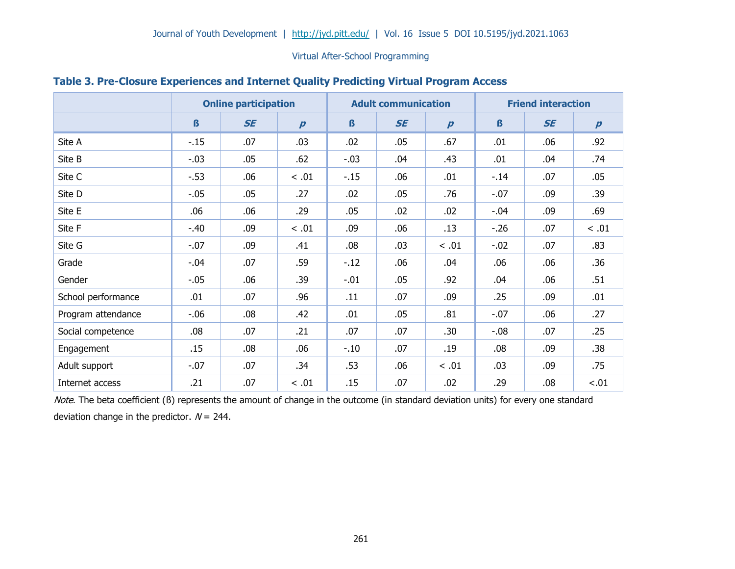|                    | <b>Online participation</b> |           |                  | <b>Adult communication</b> |           |                  | <b>Friend interaction</b> |           |                  |  |
|--------------------|-----------------------------|-----------|------------------|----------------------------|-----------|------------------|---------------------------|-----------|------------------|--|
|                    | $\boldsymbol{\beta}$        | <b>SE</b> | $\boldsymbol{p}$ | $\mathbf{B}$               | <b>SE</b> | $\boldsymbol{p}$ | $\boldsymbol{\beta}$      | <b>SE</b> | $\boldsymbol{p}$ |  |
| Site A             | $-.15$                      | .07       | .03              | .02                        | .05       | .67              | .01                       | .06       | .92              |  |
| Site B             | $-.03$                      | .05       | .62              | $-.03$                     | .04       | .43              | .01                       | .04       | .74              |  |
| Site C             | $-.53$                      | .06       | < .01            | $-.15$                     | .06       | .01              | $-.14$                    | .07       | .05              |  |
| Site D             | $-.05$                      | .05       | .27              | .02                        | .05       | .76              | $-.07$                    | .09       | .39              |  |
| Site E             | .06                         | .06       | .29              | .05                        | .02       | .02              | $-.04$                    | .09       | .69              |  |
| Site F             | $-.40$                      | .09       | < .01            | .09                        | .06       | .13              | $-.26$                    | .07       | $< .01$          |  |
| Site G             | $-.07$                      | .09       | .41              | .08                        | .03       | $< .01$          | $-.02$                    | .07       | .83              |  |
| Grade              | $-.04$                      | .07       | .59              | $-.12$                     | .06       | .04              | .06                       | .06       | .36              |  |
| Gender             | $-.05$                      | .06       | .39              | $-.01$                     | .05       | .92              | .04                       | .06       | .51              |  |
| School performance | .01                         | .07       | .96              | .11                        | .07       | .09              | .25                       | .09       | .01              |  |
| Program attendance | $-0.06$                     | .08       | .42              | .01                        | .05       | .81              | $-.07$                    | .06       | .27              |  |
| Social competence  | .08                         | .07       | .21              | .07                        | .07       | .30              | $-0.08$                   | .07       | .25              |  |
| Engagement         | .15                         | .08       | .06              | $-.10$                     | .07       | .19              | .08                       | .09       | .38              |  |
| Adult support      | $-.07$                      | .07       | .34              | .53                        | .06       | $< .01$          | .03                       | .09       | .75              |  |
| Internet access    | .21                         | .07       | < .01            | .15                        | .07       | .02              | .29                       | .08       | $-.01$           |  |

#### **Table 3. Pre-Closure Experiences and Internet Quality Predicting Virtual Program Access**

Note. The beta coefficient (ß) represents the amount of change in the outcome (in standard deviation units) for every one standard deviation change in the predictor.  $N = 244$ .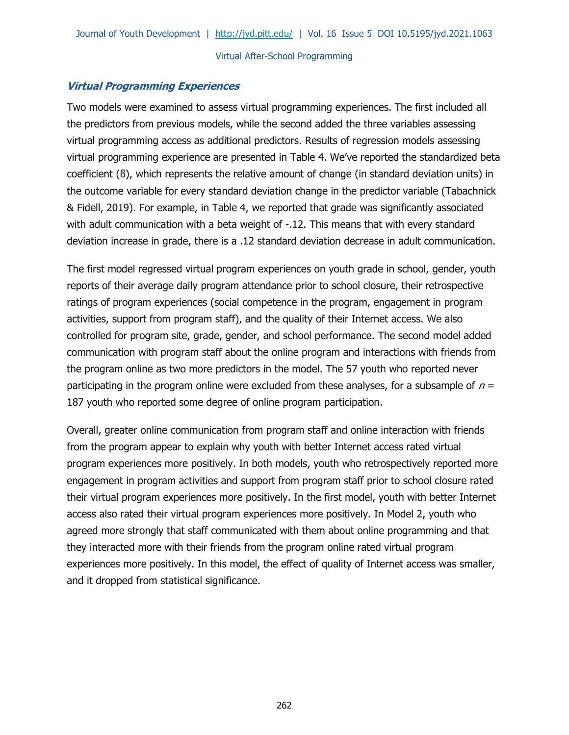## **Virtual Programming Experiences**

Two models were examined to assess virtual programming experiences. The first included all the predictors from previous models, while the second added the three variables assessing virtual programming access as additional predictors. Results of regression models assessing virtual programming experience are presented in Table 4. We've reported the standardized beta coefficient (ß), which represents the relative amount of change (in standard deviation units) in the outcome variable for every standard deviation change in the predictor variable (Tabachnick & Fidell, 2019). For example, in Table 4, we reported that grade was significantly associated with adult communication with a beta weight of -.12. This means that with every standard deviation increase in grade, there is a .12 standard deviation decrease in adult communication.

The first model regressed virtual program experiences on youth grade in school, gender, youth reports of their average daily program attendance prior to school closure, their retrospective ratings of program experiences (social competence in the program, engagement in program activities, support from program staff), and the quality of their Internet access. We also controlled for program site, grade, gender, and school performance. The second model added communication with program staff about the online program and interactions with friends from the program online as two more predictors in the model. The 57 youth who reported never participating in the program online were excluded from these analyses, for a subsample of  $n =$ 187 youth who reported some degree of online program participation.

Overall, greater online communication from program staff and online interaction with friends from the program appear to explain why youth with better Internet access rated virtual program experiences more positively. In both models, youth who retrospectively reported more engagement in program activities and support from program staff prior to school closure rated their virtual program experiences more positively. In the first model, youth with better Internet access also rated their virtual program experiences more positively. In Model 2, youth who agreed more strongly that staff communicated with them about online programming and that they interacted more with their friends from the program online rated virtual program experiences more positively. In this model, the effect of quality of Internet access was smaller, and it dropped from statistical significance.

262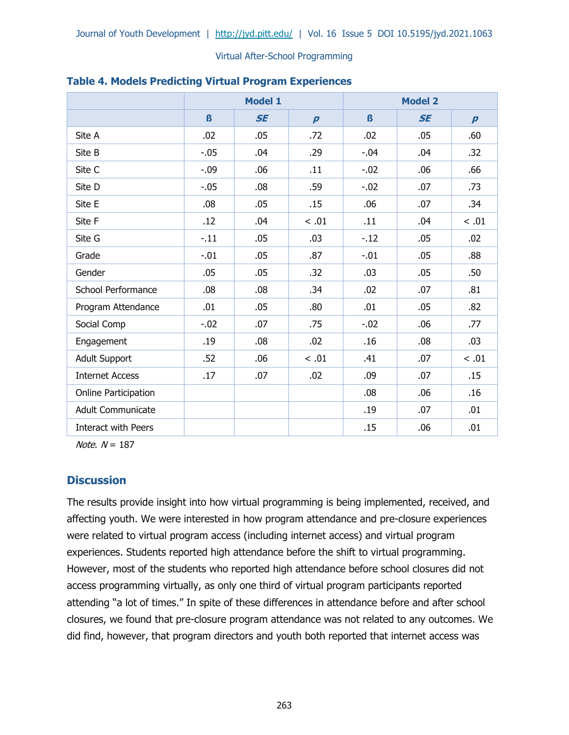|                            |                  | <b>Model 1</b> |                  |         | <b>Model 2</b> |                  |
|----------------------------|------------------|----------------|------------------|---------|----------------|------------------|
|                            | $\mathbf{\beta}$ | <b>SE</b>      | $\boldsymbol{p}$ | $\beta$ | <b>SE</b>      | $\boldsymbol{p}$ |
| Site A                     | .02              | .05            | .72              | .02     | .05            | .60              |
| Site B                     | $-.05$           | .04            | .29              | $-.04$  | .04            | .32              |
| Site C                     | $-0.09$          | .06            | .11              | $-.02$  | .06            | .66              |
| Site D                     | $-.05$           | .08            | .59              | $-.02$  | .07            | .73              |
| Site E                     | .08              | .05            | .15              | .06     | .07            | .34              |
| Site F                     | .12              | .04            | < .01            | .11     | .04            | < .01            |
| Site G                     | $-.11$           | .05            | .03              | $-.12$  | .05            | .02              |
| Grade                      | $-.01$           | .05            | .87              | $-.01$  | .05            | .88              |
| Gender                     | .05              | .05            | .32              | .03     | .05            | .50              |
| School Performance         | .08              | .08            | .34              | .02     | .07            | .81              |
| Program Attendance         | .01              | .05            | .80              | .01     | .05            | .82              |
| Social Comp                | $-.02$           | .07            | .75              | $-.02$  | .06            | .77              |
| Engagement                 | .19              | .08            | .02              | .16     | .08            | .03              |
| <b>Adult Support</b>       | .52              | .06            | $<.01$           | .41     | .07            | < .01            |
| <b>Internet Access</b>     | .17              | .07            | .02              | .09     | .07            | .15              |
| Online Participation       |                  |                |                  | .08     | .06            | .16              |
| <b>Adult Communicate</b>   |                  |                |                  | .19     | .07            | .01              |
| <b>Interact with Peers</b> |                  |                |                  | .15     | .06            | .01              |

# **Table 4. Models Predicting Virtual Program Experiences**

Note.  $N = 187$ 

# **Discussion**

The results provide insight into how virtual programming is being implemented, received, and affecting youth. We were interested in how program attendance and pre-closure experiences were related to virtual program access (including internet access) and virtual program experiences. Students reported high attendance before the shift to virtual programming. However, most of the students who reported high attendance before school closures did not access programming virtually, as only one third of virtual program participants reported attending "a lot of times." In spite of these differences in attendance before and after school closures, we found that pre-closure program attendance was not related to any outcomes. We did find, however, that program directors and youth both reported that internet access was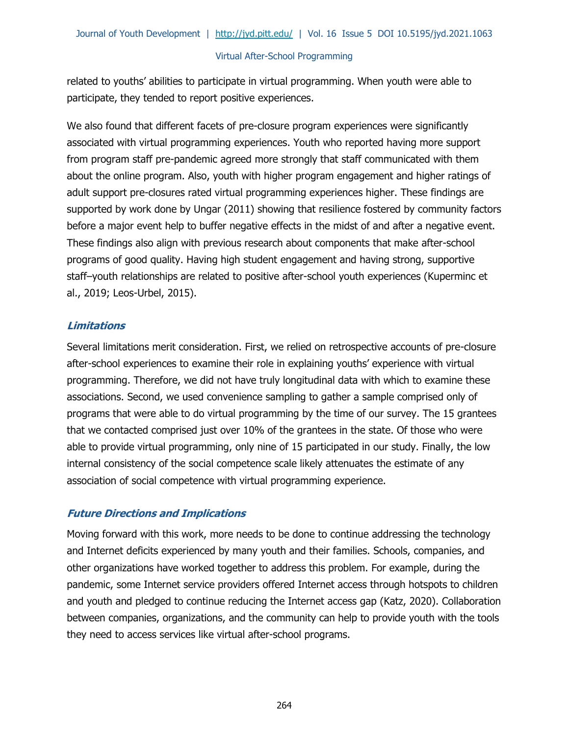related to youths' abilities to participate in virtual programming. When youth were able to participate, they tended to report positive experiences.

We also found that different facets of pre-closure program experiences were significantly associated with virtual programming experiences. Youth who reported having more support from program staff pre-pandemic agreed more strongly that staff communicated with them about the online program. Also, youth with higher program engagement and higher ratings of adult support pre-closures rated virtual programming experiences higher. These findings are supported by work done by Ungar (2011) showing that resilience fostered by community factors before a major event help to buffer negative effects in the midst of and after a negative event. These findings also align with previous research about components that make after-school programs of good quality. Having high student engagement and having strong, supportive staff–youth relationships are related to positive after-school youth experiences (Kuperminc et al., 2019; Leos-Urbel, 2015).

# **Limitations**

Several limitations merit consideration. First, we relied on retrospective accounts of pre-closure after-school experiences to examine their role in explaining youths' experience with virtual programming. Therefore, we did not have truly longitudinal data with which to examine these associations. Second, we used convenience sampling to gather a sample comprised only of programs that were able to do virtual programming by the time of our survey. The 15 grantees that we contacted comprised just over 10% of the grantees in the state. Of those who were able to provide virtual programming, only nine of 15 participated in our study. Finally, the low internal consistency of the social competence scale likely attenuates the estimate of any association of social competence with virtual programming experience.

# **Future Directions and Implications**

Moving forward with this work, more needs to be done to continue addressing the technology and Internet deficits experienced by many youth and their families. Schools, companies, and other organizations have worked together to address this problem. For example, during the pandemic, some Internet service providers offered Internet access through hotspots to children and youth and pledged to continue reducing the Internet access gap (Katz, 2020). Collaboration between companies, organizations, and the community can help to provide youth with the tools they need to access services like virtual after-school programs.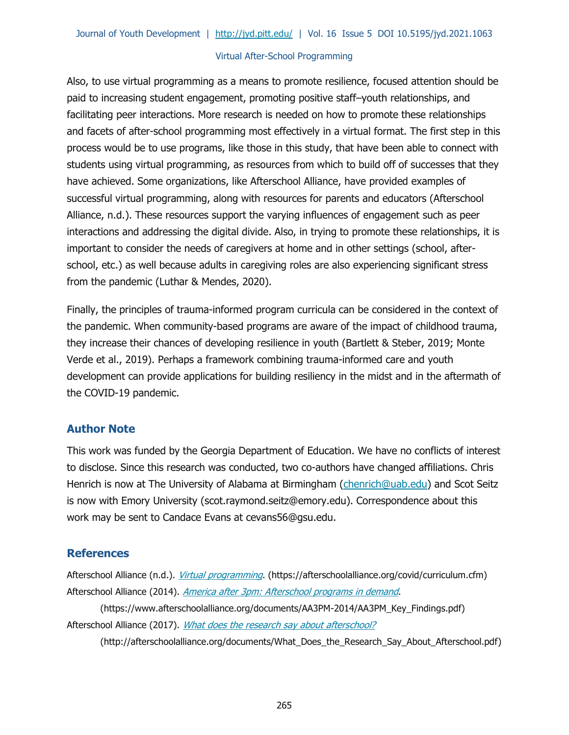Also, to use virtual programming as a means to promote resilience, focused attention should be paid to increasing student engagement, promoting positive staff–youth relationships, and facilitating peer interactions. More research is needed on how to promote these relationships and facets of after-school programming most effectively in a virtual format. The first step in this process would be to use programs, like those in this study, that have been able to connect with students using virtual programming, as resources from which to build off of successes that they have achieved. Some organizations, like Afterschool Alliance, have provided examples of successful virtual programming, along with resources for parents and educators (Afterschool Alliance, n.d.). These resources support the varying influences of engagement such as peer interactions and addressing the digital divide. Also, in trying to promote these relationships, it is important to consider the needs of caregivers at home and in other settings (school, afterschool, etc.) as well because adults in caregiving roles are also experiencing significant stress from the pandemic (Luthar & Mendes, 2020).

Finally, the principles of trauma-informed program curricula can be considered in the context of the pandemic. When community-based programs are aware of the impact of childhood trauma, they increase their chances of developing resilience in youth (Bartlett & Steber, 2019; Monte Verde et al., 2019). Perhaps a framework combining trauma-informed care and youth development can provide applications for building resiliency in the midst and in the aftermath of the COVID-19 pandemic.

# **Author Note**

This work was funded by the Georgia Department of Education. We have no conflicts of interest to disclose. Since this research was conducted, two co-authors have changed affiliations. Chris Henrich is now at The University of Alabama at Birmingham [\(chenrich@uab.edu\)](mailto:chenrich@uab.edu) and Scot Seitz is now with Emory University (scot.raymond.seitz@emory.edu). Correspondence about this work may be sent to Candace Evans at cevans56@gsu.edu.

# **References**

Afterschool Alliance (n.d.). *[Virtual programming](https://afterschoolalliance.org/covid/curriculum.cfm)*. (https://afterschoolalliance.org/covid/curriculum.cfm) Afterschool Alliance (2014). [America after 3pm: Afterschool programs in demand](https://www.afterschoolalliance.org/documents/AA3PM-2014/AA3PM_Key_Findings.pdf).

(https://www.afterschoolalliance.org/documents/AA3PM-2014/AA3PM\_Key\_Findings.pdf) Afterschool Alliance (2017). [What does the research say about afterschool?](http://afterschoolalliance.org/documents/What_Does_the_Research_Say_About_Afterschool.pdf)

(http://afterschoolalliance.org/documents/What\_Does\_the\_Research\_Say\_About\_Afterschool.pdf)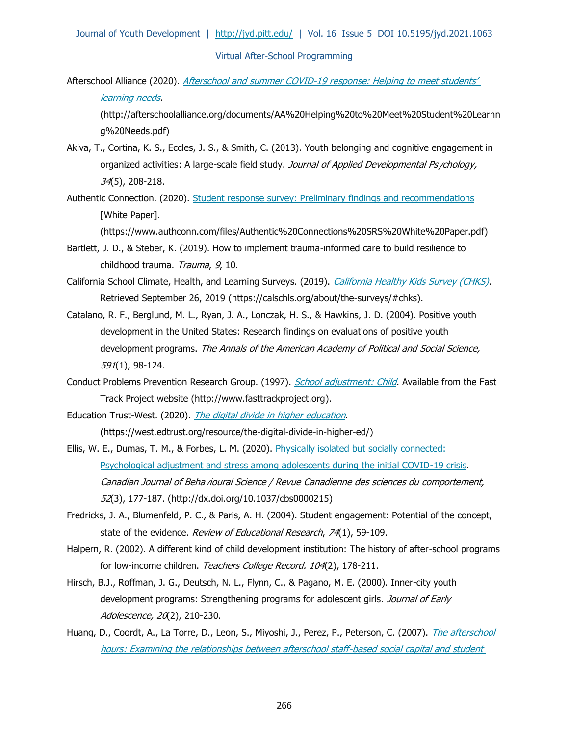Afterschool Alliance (2020). Afterschool and summer COVID-19 response: Helping to meet students' [learning needs](http://afterschoolalliance.org/documents/AA%20Helping%20to%20Meet%20Student%20Learning%20Needs.pdf).

(http://afterschoolalliance.org/documents/AA%20Helping%20to%20Meet%20Student%20Learnn g%20Needs.pdf)

- Akiva, T., Cortina, K. S., Eccles, J. S., & Smith, C. (2013). Youth belonging and cognitive engagement in organized activities: A large-scale field study. Journal of Applied Developmental Psychology, 34(5), 208-218.
- Authentic Connection. (2020). [Student response survey: Preliminary findings and recommendations](https://www.authconn.com/files/Authentic%20Connections%20SRS%20White%20Paper.pdf) [White Paper].

(https://www.authconn.com/files/Authentic%20Connections%20SRS%20White%20Paper.pdf)

- Bartlett, J. D., & Steber, K. (2019). How to implement trauma-informed care to build resilience to childhood trauma. Trauma, 9, 10.
- California School Climate, Health, and Learning Surveys. (2019). [California Healthy Kids Survey \(CHKS\)](https://calschls.org/about/the-surveys/#chks). Retrieved September 26, 2019 (https://calschls.org/about/the-surveys/#chks).
- Catalano, R. F., Berglund, M. L., Ryan, J. A., Lonczak, H. S., & Hawkins, J. D. (2004). Positive youth development in the United States: Research findings on evaluations of positive youth development programs. The Annals of the American Academy of Political and Social Science, 591(1), 98-124.
- Conduct Problems Prevention Research Group. (1997). *[School adjustment:](http://www.fasttrackproject.org/) Child*. Available from the Fast Track Project website (http://www.fasttrackproject.org).
- Education Trust-West. (2020). [The digital divide in higher education](https://west.edtrust.org/resource/the-digital-divide-in-higher-ed/). (https://west.edtrust.org/resource/the-digital-divide-in-higher-ed/)
- Ellis, W. E., Dumas, T. M., & Forbes, L. M. (2020). Physically isolated but socially connected: [Psychological adjustment and stress among adolescents during the initial COVID-19 crisis.](http://dx.doi.org/10.1037/cbs0000215) Canadian Journal of Behavioural Science / Revue Canadienne des sciences du comportement, 52(3), 177-187. (http://dx.doi.org/10.1037/cbs0000215)
- Fredricks, J. A., Blumenfeld, P. C., & Paris, A. H. (2004). Student engagement: Potential of the concept, state of the evidence. Review of Educational Research, 74(1), 59-109.
- Halpern, R. (2002). A different kind of child development institution: The history of after-school programs for low-income children. Teachers College Record. 104(2), 178-211.
- Hirsch, B.J., Roffman, J. G., Deutsch, N. L., Flynn, C., & Pagano, M. E. (2000). Inner-city youth development programs: Strengthening programs for adolescent girls. Journal of Early Adolescence, 20(2), 210-230.
- Huang, D., Coordt, A., La Torre, D., Leon, S., Miyoshi, J., Perez, P., Peterson, C. (2007). *The afterschool* [hours: Examining the relationships between afterschool staff-based social capital and student](https://files.eric.ed.gov/fulltext/ED503297.pdf)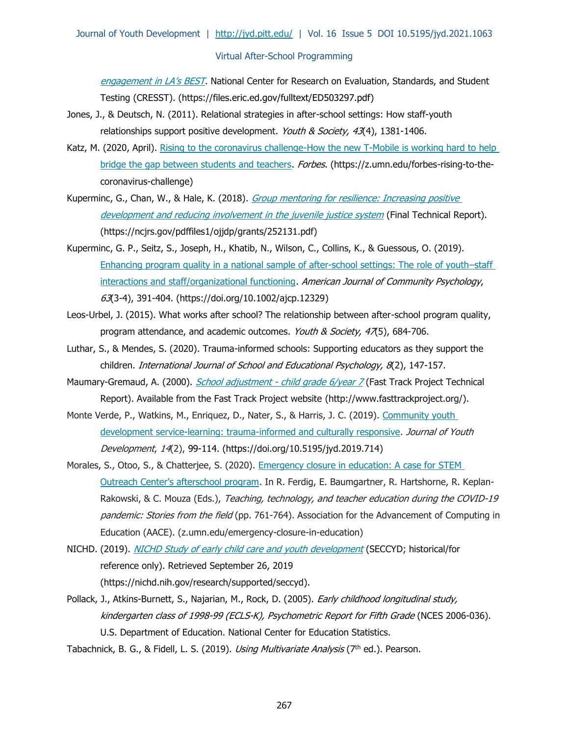[engagement in LA's BEST](https://files.eric.ed.gov/fulltext/ED503297.pdf). National Center for Research on Evaluation, Standards, and Student Testing (CRESST). (https://files.eric.ed.gov/fulltext/ED503297.pdf)

- Jones, J., & Deutsch, N. (2011). Relational strategies in after-school settings: How staff-youth relationships support positive development. Youth & Society, 43(4), 1381-1406.
- Katz, M. (2020, April). Rising to the coronavirus challenge-How the new T-Mobile is working hard to help [bridge the gap between students and teachers.](https://www.forbes.com/sites/tmobile/2020/04/15/rising-to-the-coronavirus-challenge---how-the-new-t-mobile-is-working-hard-to-help-bridge-the-gap-between-students-and-teachers/?sh=7fb91c5e7420) Forbes. (https://z.umn.edu/forbes-rising-to-thecoronavirus-challenge)
- Kuperminc, G., Chan, W., & Hale, K. (2018). Group mentoring for resilience: Increasing positive [development and reducing involvement in the juvenile justice system](https://www.ncjrs.gov/pdffiles1/ojjdp/grants/252131.pdf) (Final Technical Report). (https://ncjrs.gov/pdffiles1/ojjdp/grants/252131.pdf)
- Kuperminc, G. P., Seitz, S., Joseph, H., Khatib, N., Wilson, C., Collins, K., & Guessous, O. (2019). Enhancing program quality in a national sample of after-school settings: The role of youth–staff [interactions and staff/organizational functioning.](https://doi.org/10.1002/ajcp.12329) American Journal of Community Psychology, 63(3-4), 391-404. (https://doi.org/10.1002/ajcp.12329)
- Leos-Urbel, J. (2015). What works after school? The relationship between after-school program quality, program attendance, and academic outcomes. Youth & Society, 47(5), 684-706.
- Luthar, S., & Mendes, S. (2020). Trauma-informed schools: Supporting educators as they support the children. International Journal of School and Educational Psychology, 8(2), 147-157.
- Maumary-Gremaud, A. (2000). *School adjustment [child grade 6/year 7](http://www.fasttrackproject.org/)* (Fast Track Project Technical Report). Available from the Fast Track Project website (http://www.fasttrackproject.org/).
- Monte Verde, P., Watkins, M., Enriquez, D., Nater, S., & Harris, J. C. (2019). Community youth [development service-learning: trauma-informed and culturally responsive.](https://doi.org/10.5195/jyd.2019.714) Journal of Youth Development, 14(2), 99-114. (https://doi.org/10.5195/jyd.2019.714)
- Morales, S., Otoo, S., & Chatterjee, S. (2020). Emergency closure in education: A case for STEM [Outreach Center's afterschool program](https://www.researchgate.net/profile/Regina_KaplanRakowski/publication/342212283_Teaching_Technology_and_Teacher_Education_During_the_COVID19_Pandemic_Stories_from_the_Field/links/5ee8f58292851ce9e7e82e1d/Teaching-Technology-and-Teacher-Education-During-the-COVID-19-Pandemic-Stories-from-the-Field.pdf). In R. Ferdig, E. Baumgartner, R. Hartshorne, R. Keplan-Rakowski, & C. Mouza (Eds.), Teaching, technology, and teacher education during the COVID-19 pandemic: Stories from the field (pp. 761-764). Association for the Advancement of Computing in Education (AACE). (z.umn.edu/emergency-closure-in-education)
- NICHD. (2019). *[NICHD Study of early child care and youth development](https://www.nichd.nih.gov/research/supported/seccyd)* (SECCYD; historical/for reference only). Retrieved September 26, 2019 (https://nichd.nih.gov/research/supported/seccyd).
- Pollack, J., Atkins-Burnett, S., Najarian, M., Rock, D. (2005). *Early childhood longitudinal study,* kindergarten class of 1998-99 (ECLS-K), Psychometric Report for Fifth Grade (NCES 2006-036). U.S. Department of Education. National Center for Education Statistics.
- Tabachnick, B. G., & Fidell, L. S. (2019). Using Multivariate Analysis (7th ed.). Pearson.